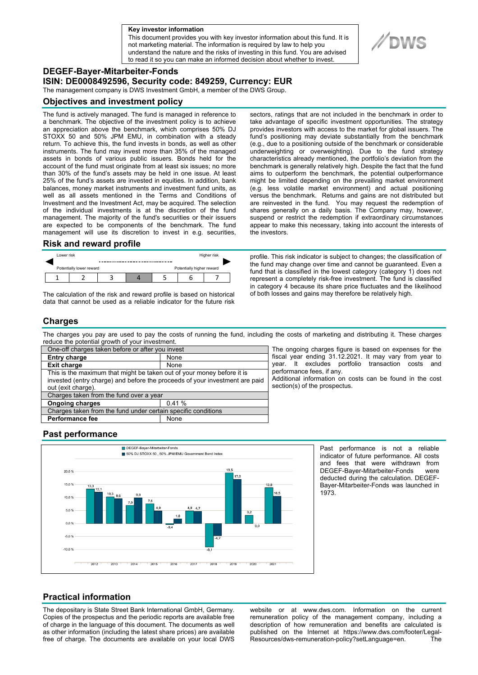**a Key investor information**

This document provides you with key investor information about this fund. It is not marketing material. The information is required by law to help you understand the nature and the risks of investing in this fund. You are advised to read it so you can make an informed decision about whether to invest.



**ISIN: DE0008492596, Security code: 849259, Currency: EUR** 

The management company is DWS Investment GmbH, a member of the DWS Group.

## **Objectives and investment policy**

The fund is actively managed. The fund is managed in reference to a benchmark. The objective of the investment policy is to achieve an appreciation above the benchmark, which comprises 50% DJ STOXX 50 and 50% JPM EMU, in combination with a steady return. To achieve this, the fund invests in bonds, as well as other instruments. The fund may invest more than 35% of the managed assets in bonds of various public issuers. Bonds held for the account of the fund must originate from at least six issues; no more than 30% of the fund's assets may be held in one issue. At least 25% of the fund's assets are invested in equities. In addition, bank balances, money market instruments and investment fund units, as well as all assets mentioned in the Terms and Conditions of Investment and the Investment Act, may be acquired. The selection of the individual investments is at the discretion of the fund management. The majority of the fund's securities or their issuers are expected to be components of the benchmark. The fund management will use its discretion to invest in e.g. securities,

## **Risk and reward profile**



The calculation of the risk and reward profile is based on historical data that cannot be used as a reliable indicator for the future risk sectors, ratings that are not included in the benchmark in order to take advantage of specific investment opportunities. The strategy provides investors with access to the market for global issuers. The fund's positioning may deviate substantially from the benchmark (e.g., due to a positioning outside of the benchmark or considerable underweighting or overweighting). Due to the fund strategy characteristics already mentioned, the portfolio's deviation from the benchmark is generally relatively high. Despite the fact that the fund aims to outperform the benchmark, the potential outperformance might be limited depending on the prevailing market environment (e.g. less volatile market environment) and actual positioning versus the benchmark. Returns and gains are not distributed but are reinvested in the fund. You may request the redemption of shares generally on a daily basis. The Company may, however, suspend or restrict the redemption if extraordinary circumstances appear to make this necessary, taking into account the interests of the investors.

profile. This risk indicator is subject to changes; the classification of the fund may change over time and cannot be guaranteed. Even a fund that is classified in the lowest category (category 1) does not represent a completely risk-free investment. The fund is classified in category 4 because its share price fluctuates and the likelihood of both losses and gains may therefore be relatively high.

# **Charges**

The charges you pay are used to pay the costs of running the fund, including the costs of marketing and distributing it. These charges reduce the potential growth of your investment.

| One-off charges taken before or after you invest                            |       |
|-----------------------------------------------------------------------------|-------|
| <b>Entry charge</b>                                                         | None  |
| <b>Exit charge</b>                                                          | None  |
| This is the maximum that might be taken out of your money before it is      |       |
| invested (entry charge) and before the proceeds of your investment are paid |       |
| out (exit charge).                                                          |       |
| Charges taken from the fund over a year                                     |       |
| <b>Ongoing charges</b>                                                      | 0.41% |
| Charges taken from the fund under certain specific conditions               |       |
| Performance fee                                                             | None  |
|                                                                             |       |

The ongoing charges figure is based on expenses for the fiscal year ending 31.12.2021. It may vary from year to year. It excludes portfolio transaction costs and performance fees, if any.

Additional information on costs can be found in the cost section(s) of the prospectus.

# **Past performance**



Past performance is not a reliable indicator of future performance. All costs and fees that were withdrawn from DEGEF-Bayer-Mitarbeiter-Fonds were deducted during the calculation. DEGEF-Bayer-Mitarbeiter-Fonds was launched in 1973.

# **Practical information**

The depositary is State Street Bank International GmbH, Germany. Copies of the prospectus and the periodic reports are available free of charge in the language of this document. The documents as well as other information (including the latest share prices) are available free of charge. The documents are available on your local DWS

website or at www.dws.com. Information on the current remuneration policy of the management company, including a description of how remuneration and benefits are calculated is published on the Internet at https://www.dws.com/footer/Legal-Resources/dws-remuneration-policy?setLanguage=en. The